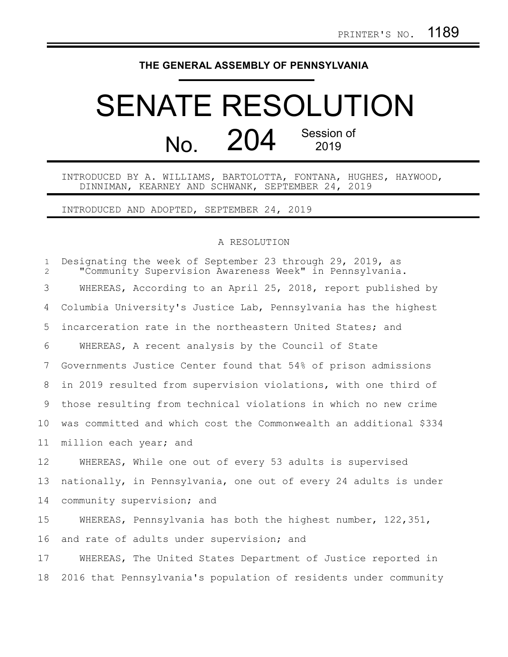## **THE GENERAL ASSEMBLY OF PENNSYLVANIA**

## SENATE RESOLUTION  $N<sub>0</sub>$  204 Session of 2019

INTRODUCED BY A. WILLIAMS, BARTOLOTTA, FONTANA, HUGHES, HAYWOOD, DINNIMAN, KEARNEY AND SCHWANK, SEPTEMBER 24, 2019

INTRODUCED AND ADOPTED, SEPTEMBER 24, 2019

## A RESOLUTION

Designating the week of September 23 through 29, 2019, as "Community Supervision Awareness Week" in Pennsylvania. WHEREAS, According to an April 25, 2018, report published by Columbia University's Justice Lab, Pennsylvania has the highest incarceration rate in the northeastern United States; and WHEREAS, A recent analysis by the Council of State Governments Justice Center found that 54% of prison admissions in 2019 resulted from supervision violations, with one third of those resulting from technical violations in which no new crime was committed and which cost the Commonwealth an additional \$334 million each year; and WHEREAS, While one out of every 53 adults is supervised nationally, in Pennsylvania, one out of every 24 adults is under community supervision; and WHEREAS, Pennsylvania has both the highest number, 122,351, and rate of adults under supervision; and WHEREAS, The United States Department of Justice reported in 2016 that Pennsylvania's population of residents under community 1 2 3 4 5 6 7 8 9 10 11 12 13 14 15 16 17 18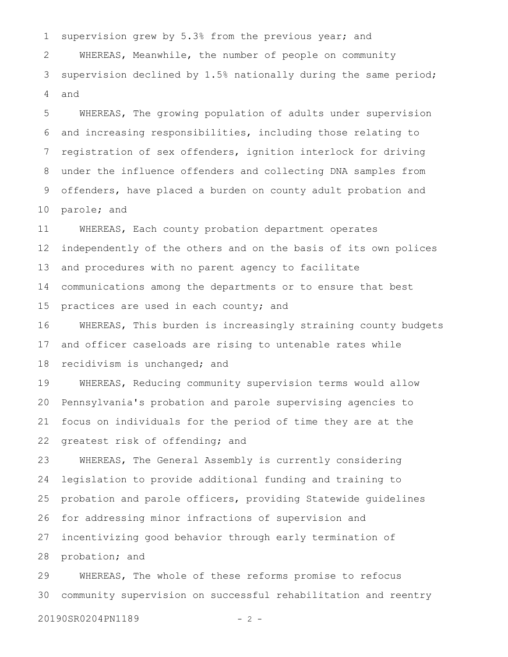supervision grew by 5.3% from the previous year; and WHEREAS, Meanwhile, the number of people on community supervision declined by 1.5% nationally during the same period; and 1 2 3 4

WHEREAS, The growing population of adults under supervision and increasing responsibilities, including those relating to registration of sex offenders, ignition interlock for driving under the influence offenders and collecting DNA samples from offenders, have placed a burden on county adult probation and parole; and 5 6 7 8 9 10

WHEREAS, Each county probation department operates independently of the others and on the basis of its own polices and procedures with no parent agency to facilitate communications among the departments or to ensure that best practices are used in each county; and 11 12 13 14 15

WHEREAS, This burden is increasingly straining county budgets and officer caseloads are rising to untenable rates while recidivism is unchanged; and 16 17 18

WHEREAS, Reducing community supervision terms would allow Pennsylvania's probation and parole supervising agencies to focus on individuals for the period of time they are at the greatest risk of offending; and 19 20 21 22

WHEREAS, The General Assembly is currently considering legislation to provide additional funding and training to probation and parole officers, providing Statewide guidelines for addressing minor infractions of supervision and incentivizing good behavior through early termination of probation; and 23 24 25 26 27 28

WHEREAS, The whole of these reforms promise to refocus community supervision on successful rehabilitation and reentry 29 30

20190SR0204PN1189 - 2 -